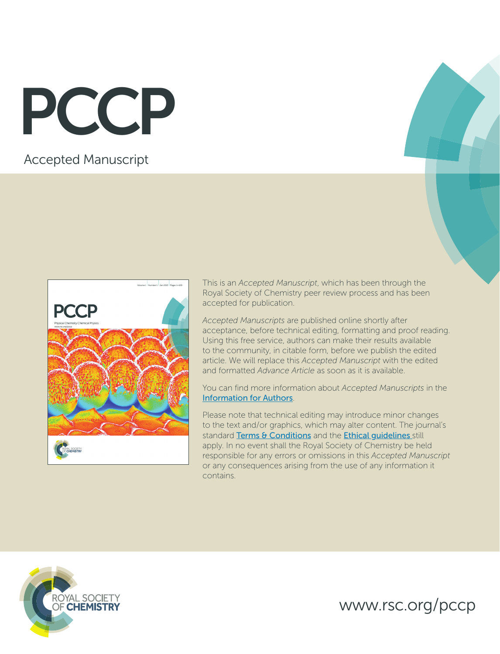PCCP

# Accepted Manuscript



This is an *Accepted Manuscript*, which has been through the Royal Society of Chemistry peer review process and has been accepted for publication.

*Accepted Manuscripts* are published online shortly after acceptance, before technical editing, formatting and proof reading. Using this free service, authors can make their results available to the community, in citable form, before we publish the edited article. We will replace this *Accepted Manuscript* with the edited and formatted *Advance Article* as soon as it is available.

You can find more information about *Accepted Manuscripts* in the [Information for Authors](http://www.rsc.org/Publishing/Journals/guidelines/AuthorGuidelines/JournalPolicy/accepted_manuscripts.asp).

Please note that technical editing may introduce minor changes to the text and/or graphics, which may alter content. The journal's standard [Terms & Conditions](http://www.rsc.org/help/termsconditions.asp) and the **Ethical guidelines** still apply. In no event shall the Royal Society of Chemistry be held responsible for any errors or omissions in this *Accepted Manuscript* or any consequences arising from the use of any information it contains.



www.rsc.org/pccp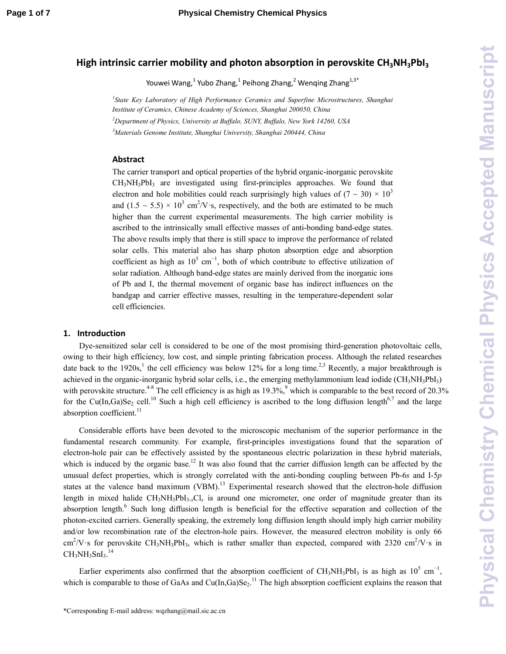# **High intrinsic carrier mobility and photon absorption in perovskite CH3NH3PbI<sup>3</sup>**

Youwei Wang, $^{1}$  Yubo Zhang, $^{1}$  Peihong Zhang, $^{2}$  Wenqing Zhang $^{1,3^{\ast}}$ 

<sup>1</sup> State Key Laboratory of High Performance Ceramics and Superfine Microstructures, Shanghai *Institute of Ceramics, Chinese Academy of Sciences, Shanghai 200050, China <sup>2</sup>Department of Physics, University at Buffalo, SUNY, Buffalo, New York 14260, USA <sup>3</sup>Materials Genome Institute, Shanghai University, Shanghai 200444, China* 

## **Abstract**

The carrier transport and optical properties of the hybrid organic-inorganic perovskite  $CH<sub>3</sub>NH<sub>3</sub>PbI<sub>3</sub>$  are investigated using first-principles approaches. We found that electron and hole mobilities could reach surprisingly high values of  $(7 \sim 30) \times 10^3$ and  $(1.5 \sim 5.5) \times 10^3$  cm<sup>2</sup>/V·s, respectively, and the both are estimated to be much higher than the current experimental measurements. The high carrier mobility is ascribed to the intrinsically small effective masses of anti-bonding band-edge states. The above results imply that there is still space to improve the performance of related solar cells. This material also has sharp photon absorption edge and absorption coefficient as high as  $10^5$  cm<sup>-1</sup>, both of which contribute to effective utilization of solar radiation. Although band-edge states are mainly derived from the inorganic ions of Pb and I, the thermal movement of organic base has indirect influences on the bandgap and carrier effective masses, resulting in the temperature-dependent solar cell efficiencies.

#### **1. Introduction**

Dye-sensitized solar cell is considered to be one of the most promising third-generation photovoltaic cells, owing to their high efficiency, low cost, and simple printing fabrication process. Although the related researches date back to the 1920s,<sup>1</sup> the cell efficiency was below 12% for a long time.<sup>2,3</sup> Recently, a major breakthrough is achieved in the organic-inorganic hybrid solar cells, i.e., the emerging methylammonium lead iodide  $(CH_3NH_3PbI_3)$ with perovskite structure.<sup>4-8</sup> The cell efficiency is as high as  $19.3\%$ , which is comparable to the best record of 20.3% for the Cu(In,Ga)Se<sub>2</sub> cell.<sup>10</sup> Such a high cell efficiency is ascribed to the long diffusion length<sup>6,7</sup> and the large absorption coefficient.<sup>11</sup>

Considerable efforts have been devoted to the microscopic mechanism of the superior performance in the fundamental research community. For example, first-principles investigations found that the separation of electron-hole pair can be effectively assisted by the spontaneous electric polarization in these hybrid materials, which is induced by the organic base.<sup>12</sup> It was also found that the carrier diffusion length can be affected by the unusual defect properties, which is strongly correlated with the anti-bonding coupling between Pb-6*s* and I-5*p* states at the valence band maximum (VBM).<sup>13</sup> Experimental research showed that the electron-hole diffusion length in mixed halide  $CH_3NH_3PbI_3.CI_r$  is around one micrometer, one order of magnitude greater than its absorption length.<sup>6</sup> Such long diffusion length is beneficial for the effective separation and collection of the photon-excited carriers. Generally speaking, the extremely long diffusion length should imply high carrier mobility and/or low recombination rate of the electron-hole pairs. However, the measured electron mobility is only 66  $\text{cm}^2/\text{V}\cdot\text{s}$  for perovskite CH<sub>3</sub>NH<sub>3</sub>PbI<sub>3</sub>, which is rather smaller than expected, compared with 2320 cm<sup>2</sup>/V $\cdot$ s in  $\rm CH_3NH_3SnI_3.^{14}$ 

Earlier experiments also confirmed that the absorption coefficient of CH<sub>3</sub>NH<sub>3</sub>PbI<sub>3</sub> is as high as 10<sup>5</sup> cm<sup>-1</sup>, which is comparable to those of GaAs and  $Cu(In, Ga)Se<sub>2</sub>$ .<sup>11</sup> The high absorption coefficient explains the reason that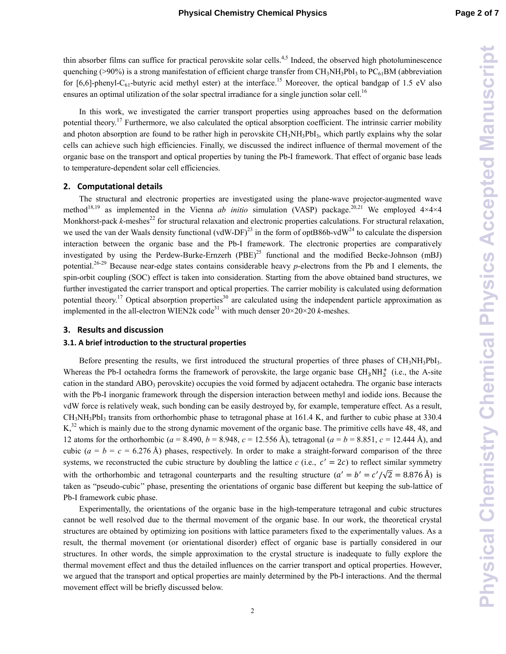thin absorber films can suffice for practical perovskite solar cells.<sup>4,5</sup> Indeed, the observed high photoluminescence quenching (>90%) is a strong manifestation of efficient charge transfer from CH<sub>3</sub>NH<sub>3</sub>PbI<sub>3</sub> to PC<sub>61</sub>BM (abbreviation for [6,6]-phenyl-C<sub>61</sub>-butyric acid methyl ester) at the interface.<sup>15</sup> Moreover, the optical bandgap of 1.5 eV also ensures an optimal utilization of the solar spectral irradiance for a single junction solar cell.<sup>16</sup>

In this work, we investigated the carrier transport properties using approaches based on the deformation potential theory.<sup>17</sup> Furthermore, we also calculated the optical absorption coefficient. The intrinsic carrier mobility and photon absorption are found to be rather high in perovskite  $CH<sub>3</sub>NH<sub>3</sub>PbI<sub>3</sub>$ , which partly explains why the solar cells can achieve such high efficiencies. Finally, we discussed the indirect influence of thermal movement of the organic base on the transport and optical properties by tuning the Pb-I framework. That effect of organic base leads to temperature-dependent solar cell efficiencies.

#### **2. Computational details**

The structural and electronic properties are investigated using the plane-wave projector-augmented wave method<sup>18,19</sup> as implemented in the Vienna *ab initio* simulation (VASP) package.<sup>20,21</sup> We employed 4×4×4 Monkhorst-pack k-meshes<sup>22</sup> for structural relaxation and electronic properties calculations. For structural relaxation, we used the van der Waals density functional (vdW-DF)<sup>23</sup> in the form of optB86b-vdW<sup>24</sup> to calculate the dispersion interaction between the organic base and the Pb-I framework. The electronic properties are comparatively investigated by using the Perdew-Burke-Ernzerh (PBE) <sup>25</sup> functional and the modified Becke-Johnson (mBJ) potential.26-29 Because near-edge states contains considerable heavy *p*-electrons from the Pb and I elements, the spin-orbit coupling (SOC) effect is taken into consideration. Starting from the above obtained band structures, we further investigated the carrier transport and optical properties. The carrier mobility is calculated using deformation potential theory.<sup>17</sup> Optical absorption properties<sup>30</sup> are calculated using the independent particle approximation as implemented in the all-electron WIEN2k code<sup>31</sup> with much denser  $20 \times 20 \times 20$  *k*-meshes.

## **3. Results and discussion**

#### **3.1. A brief introduction to the structural properties**

Before presenting the results, we first introduced the structural properties of three phases of  $CH<sub>3</sub>NH<sub>3</sub>PbI<sub>3</sub>$ . Whereas the Pb-I octahedra forms the framework of perovskite, the large organic base  $CH_3NH_3^+$  (i.e., the A-site cation in the standard  $ABO<sub>3</sub>$  perovskite) occupies the void formed by adjacent octahedra. The organic base interacts with the Pb-I inorganic framework through the dispersion interaction between methyl and iodide ions. Because the vdW force is relatively weak, such bonding can be easily destroyed by, for example, temperature effect. As a result, CH<sub>3</sub>NH<sub>3</sub>PbI<sub>3</sub> transits from orthorhombic phase to tetragonal phase at 161.4 K, and further to cubic phase at 330.4  $K<sub>1</sub><sup>32</sup>$  which is mainly due to the strong dynamic movement of the organic base. The primitive cells have 48, 48, and 12 atoms for the orthorhombic (*a* = 8.490, *b* = 8.948, *c* = 12.556 Å), tetragonal (*a* = *b* = 8.851, *c* = 12.444 Å), and cubic  $(a = b = c = 6.276 \text{ Å})$  phases, respectively. In order to make a straight-forward comparison of the three systems, we reconstructed the cubic structure by doubling the lattice  $c$  (i.e.,  $c' = 2c$ ) to reflect similar symmetry with the orthorhombic and tetragonal counterparts and the resulting structure  $(a' = b' = c'/\sqrt{2} = 8.876 \text{ Å})$  is taken as "pseudo-cubic'' phase, presenting the orientations of organic base different but keeping the sub-lattice of Pb-I framework cubic phase.

Experimentally, the orientations of the organic base in the high-temperature tetragonal and cubic structures cannot be well resolved due to the thermal movement of the organic base. In our work, the theoretical crystal structures are obtained by optimizing ion positions with lattice parameters fixed to the experimentally values. As a result, the thermal movement (or orientational disorder) effect of organic base is partially considered in our structures. In other words, the simple approximation to the crystal structure is inadequate to fully explore the thermal movement effect and thus the detailed influences on the carrier transport and optical properties. However, we argued that the transport and optical properties are mainly determined by the Pb-I interactions. And the thermal movement effect will be briefly discussed below.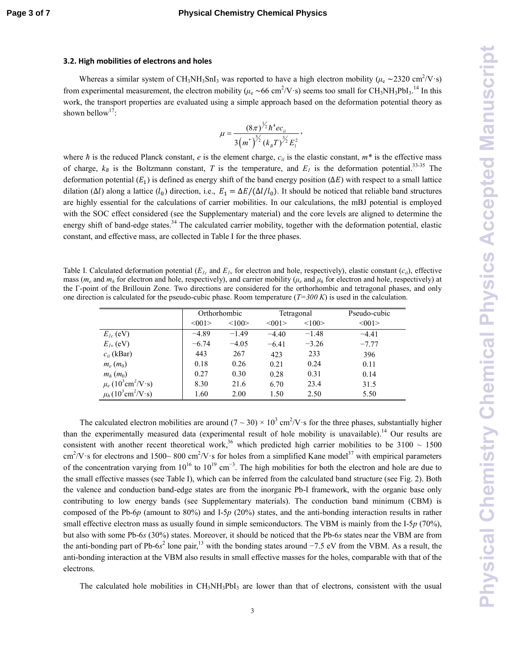#### **3.2. High mobilities of electrons and holes**

Whereas a similar system of CH<sub>3</sub>NH<sub>3</sub>SnI<sub>3</sub> was reported to have a high electron mobility ( $\mu_e \sim 2320 \text{ cm}^2/\text{V} \cdot \text{s}$ ) from experimental measurement, the electron mobility ( $\mu_e \sim 66 \text{ cm}^2/\text{V} \cdot \text{s}$ ) seems too small for CH<sub>3</sub>NH<sub>3</sub>PbI<sub>3</sub>.<sup>14</sup> In this work, the transport properties are evaluated using a simple approach based on the deformation potential theory as shown bellow<sup>17</sup>:

$$
\mu = \frac{(8\pi)^{\frac{1}{2}}\hbar^4 e c_{ii}}{3(m^*)^{\frac{5}{2}}(k_B T)^{\frac{3}{2}} E_1^2},
$$

where  $\hbar$  is the reduced Planck constant, *e* is the element charge,  $c_{ii}$  is the elastic constant,  $m^*$  is the effective mass of charge,  $k_B$  is the Boltzmann constant, *T* is the temperature, and  $E_I$  is the deformation potential.<sup>33-35</sup> The deformation potential  $(E_1)$  is defined as energy shift of the band energy position ( $\Delta E$ ) with respect to a small lattice dilation ( $\Delta l$ ) along a lattice ( $l_0$ ) direction, i.e.,  $E_1 = \Delta E/(\Delta l/l_0)$ . It should be noticed that reliable band structures are highly essential for the calculations of carrier mobilities. In our calculations, the mBJ potential is employed with the SOC effect considered (see the Supplementary material) and the core levels are aligned to determine the energy shift of band-edge states.<sup>34</sup> The calculated carrier mobility, together with the deformation potential, elastic constant, and effective mass, are collected in Table I for the three phases.

Table I. Calculated deformation potential  $(E_{Ic}$  and  $E_{Iv}$  for electron and hole, respectively), elastic constant  $(c_{ii})$ , effective mass ( $m_e$  and  $m_h$  for electron and hole, respectively), and carrier mobility ( $\mu_e$  and  $\mu_h$  for electron and hole, respectively) at the Γ-point of the Brillouin Zone. Two directions are considered for the orthorhombic and tetragonal phases, and only one direction is calculated for the pseudo-cubic phase. Room temperature (*T=300 K*) is used in the calculation.

|                                                    | Orthorhombic |         | Tetragonal |         | Pseudo-cubic |
|----------------------------------------------------|--------------|---------|------------|---------|--------------|
|                                                    | <001         | <100    | <001       | <100    | <001         |
| $E_{Ic}$ (eV)                                      | $-4.89$      | $-1.49$ | $-4.40$    | $-1.48$ | $-4.41$      |
| $E_{Iv}$ (eV)                                      | $-6.74$      | $-4.05$ | $-6.41$    | $-3.26$ | $-7.77$      |
| $c_{ii}$ (kBar)                                    | 443          | 267     | 423        | 233     | 396          |
| $m_e(m_0)$                                         | 0.18         | 0.26    | 0.21       | 0.24    | 0.11         |
| $m_h(m_0)$                                         | 0.27         | 0.30    | 0.28       | 0.31    | 0.14         |
| $\mu_e (10^3 \text{cm}^2/\text{V} \cdot \text{s})$ | 8.30         | 21.6    | 6.70       | 23.4    | 31.5         |
| $\mu_h (10^3 \text{cm}^2/\text{V} \cdot \text{s})$ | 1.60         | 2.00    | 1.50       | 2.50    | 5.50         |

The calculated electron mobilities are around  $(7 \sim 30) \times 10^3$  cm<sup>2</sup>/V·s for the three phases, substantially higher than the experimentally measured data (experimental result of hole mobility is unavailable).<sup>14</sup> Our results are consistent with another recent theoretical work,<sup>36</sup> which predicted high carrier mobilities to be  $3100 \sim 1500$  $\text{cm}^2/\text{V}\cdot\text{s}$  for electrons and 1500~800 cm<sup>2</sup>/V $\cdot$ s for holes from a simplified Kane model<sup>37</sup> with empirical parameters of the concentration varying from  $10^{16}$  to  $10^{19}$  cm<sup>-3</sup>. The high mobilities for both the electron and hole are due to the small effective masses (see Table I), which can be inferred from the calculated band structure (see Fig. 2). Both the valence and conduction band-edge states are from the inorganic Pb-I framework, with the organic base only contributing to low energy bands (see Supplementary materials). The conduction band minimum (CBM) is composed of the Pb-6*p* (amount to 80%) and I-5*p* (20%) states, and the anti-bonding interaction results in rather small effective electron mass as usually found in simple semiconductors. The VBM is mainly from the I-5*p* (70%), but also with some Pb-6*s* (30%) states. Moreover, it should be noticed that the Pb-6*s* states near the VBM are from the anti-bonding part of Pb-6 $s^2$  lone pair,<sup>13</sup> with the bonding states around −7.5 eV from the VBM. As a result, the anti-bonding interaction at the VBM also results in small effective masses for the holes, comparable with that of the electrons.

The calculated hole mobilities in  $CH_3NH_3PbI_3$  are lower than that of electrons, consistent with the usual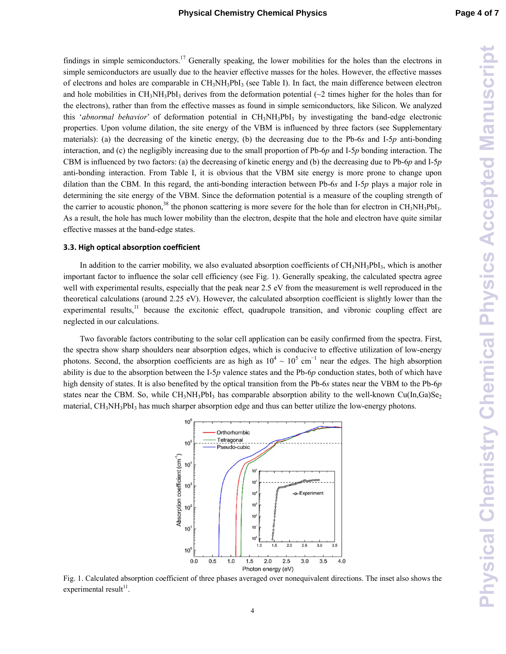findings in simple semiconductors.<sup>17</sup> Generally speaking, the lower mobilities for the holes than the electrons in simple semiconductors are usually due to the heavier effective masses for the holes. However, the effective masses of electrons and holes are comparable in  $CH_3NH_3PbI_3$  (see Table I). In fact, the main difference between electron and hole mobilities in CH<sub>3</sub>NH<sub>3</sub>PbI<sub>3</sub> derives from the deformation potential ( $\sim$ 2 times higher for the holes than for the electrons), rather than from the effective masses as found in simple semiconductors, like Silicon. We analyzed this '*abnormal behavior*' of deformation potential in CH3NH3PbI3 by investigating the band-edge electronic properties. Upon volume dilation, the site energy of the VBM is influenced by three factors (see Supplementary materials): (a) the decreasing of the kinetic energy, (b) the decreasing due to the Pb-6*s* and I-5*p* anti-bonding interaction, and (c) the negligibly increasing due to the small proportion of Pb-6*p* and I-5*p* bonding interaction. The CBM is influenced by two factors: (a) the decreasing of kinetic energy and (b) the decreasing due to Pb-6*p* and I-5*p* anti-bonding interaction. From Table I, it is obvious that the VBM site energy is more prone to change upon dilation than the CBM. In this regard, the anti-bonding interaction between Pb-6*s* and I-5*p* plays a major role in determining the site energy of the VBM. Since the deformation potential is a measure of the coupling strength of the carrier to acoustic phonon,<sup>38</sup> the phonon scattering is more severe for the hole than for electron in CH<sub>3</sub>NH<sub>3</sub>PbI<sub>3</sub>. As a result, the hole has much lower mobility than the electron, despite that the hole and electron have quite similar effective masses at the band-edge states.

### **3.3. High optical absorption coefficient**

In addition to the carrier mobility, we also evaluated absorption coefficients of  $CH<sub>3</sub>NH<sub>3</sub>PbI<sub>3</sub>$ , which is another important factor to influence the solar cell efficiency (see Fig. 1). Generally speaking, the calculated spectra agree well with experimental results, especially that the peak near 2.5 eV from the measurement is well reproduced in the theoretical calculations (around 2.25 eV). However, the calculated absorption coefficient is slightly lower than the experimental results,<sup>11</sup> because the excitonic effect, quadrupole transition, and vibronic coupling effect are neglected in our calculations.

Two favorable factors contributing to the solar cell application can be easily confirmed from the spectra. First, the spectra show sharp shoulders near absorption edges, which is conducive to effective utilization of low-energy photons. Second, the absorption coefficients are as high as  $10^4 \sim 10^5$  cm<sup>-1</sup> near the edges. The high absorption ability is due to the absorption between the I-5*p* valence states and the Pb-6*p* conduction states, both of which have high density of states. It is also benefited by the optical transition from the Pb-6*s* states near the VBM to the Pb-6*p* states near the CBM. So, while  $CH_3NH_3PbI_3$  has comparable absorption ability to the well-known Cu(In,Ga)Se<sub>2</sub> material,  $CH_3NH_3PbI_3$  has much sharper absorption edge and thus can better utilize the low-energy photons.



Fig. 1. Calculated absorption coefficient of three phases averaged over nonequivalent directions. The inset also shows the  $experimental result<sup>11</sup>$ .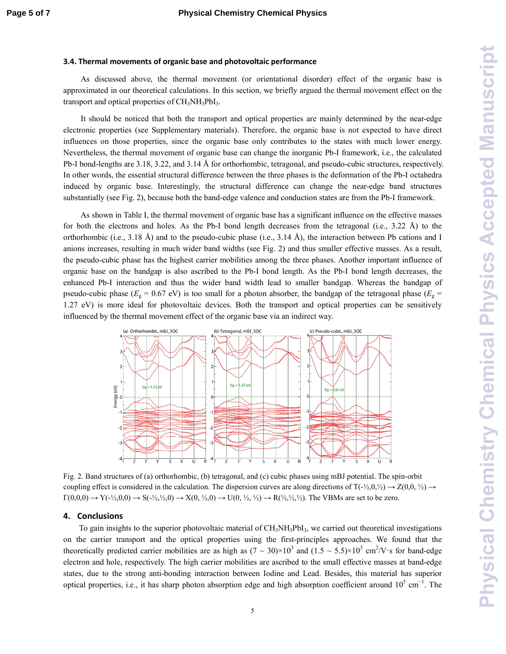#### **3.4. Thermal movements of organic base and photovoltaic performance**

As discussed above, the thermal movement (or orientational disorder) effect of the organic base is approximated in our theoretical calculations. In this section, we briefly argued the thermal movement effect on the transport and optical properties of  $CH<sub>3</sub>NH<sub>3</sub>PbI<sub>3</sub>$ .

It should be noticed that both the transport and optical properties are mainly determined by the near-edge electronic properties (see Supplementary materials). Therefore, the organic base is not expected to have direct influences on those properties, since the organic base only contributes to the states with much lower energy. Nevertheless, the thermal movement of organic base can change the inorganic Pb-I framework, i.e., the calculated Pb-I bond-lengths are 3.18, 3.22, and 3.14 Å for orthorhombic, tetragonal, and pseudo-cubic structures, respectively. In other words, the essential structural difference between the three phases is the deformation of the Pb-I octahedra induced by organic base. Interestingly, the structural difference can change the near-edge band structures substantially (see Fig. 2), because both the band-edge valence and conduction states are from the Pb-I framework.

As shown in Table I, the thermal movement of organic base has a significant influence on the effective masses for both the electrons and holes. As the Pb-I bond length decreases from the tetragonal (i.e., 3.22 Å) to the orthorhombic (i.e., 3.18 Å) and to the pseudo-cubic phase (i.e., 3.14 Å), the interaction between Pb cations and I anions increases, resulting in much wider band widths (see Fig. 2) and thus smaller effective masses. As a result, the pseudo-cubic phase has the highest carrier mobilities among the three phases. Another important influence of organic base on the bandgap is also ascribed to the Pb-I bond length. As the Pb-I bond length decreases, the enhanced Pb-I interaction and thus the wider band width lead to smaller bandgap. Whereas the bandgap of pseudo-cubic phase ( $E_g = 0.67$  eV) is too small for a photon absorber, the bandgap of the tetragonal phase ( $E_g$  = 1.27 eV) is more ideal for photovoltaic devices. Both the transport and optical properties can be sensitively influenced by the thermal movement effect of the organic base via an indirect way.



Fig. 2. Band structures of (a) orthorhombic, (b) tetragonal, and (c) cubic phases using mBJ potential. The spin-orbit coupling effect is considered in the calculation. The dispersion curves are along directions of  $T(-\frac{1}{2},0,\frac{1}{2}) \rightarrow Z(0,0,\frac{1}{2}) \rightarrow$  $\Gamma(0,0,0) \to \Upsilon(+/2,0,0) \to \Upsilon(-/2,1/2,0) \to X(0,1/2,0) \to U(0,1/2,1/2) \to R(+/2,1/2)$ . The VBMs are set to be zero.

#### **4. Conclusions**

To gain insights to the superior photovoltaic material of  $CH_3NH_3PbI_3$ , we carried out theoretical investigations on the carrier transport and the optical properties using the first-principles approaches. We found that the theoretically predicted carrier mobilities are as high as  $(7 \sim 30) \times 10^3$  and  $(1.5 \sim 5.5) \times 10^3$  cm<sup>2</sup>/V·s for band-edge electron and hole, respectively. The high carrier mobilities are ascribed to the small effective masses at band-edge states, due to the strong anti-bonding interaction between Iodine and Lead. Besides, this material has superior optical properties, i.e., it has sharp photon absorption edge and high absorption coefficient around  $10^5$  cm<sup>-1</sup>. The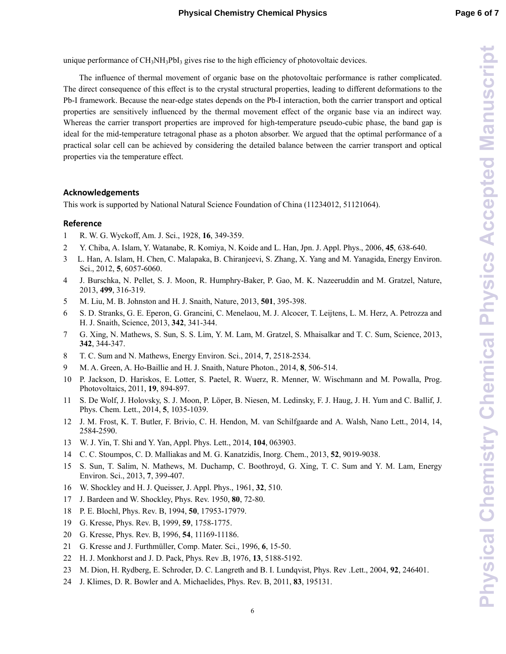unique performance of  $CH_3NH_3PbI_3$  gives rise to the high efficiency of photovoltaic devices.

The influence of thermal movement of organic base on the photovoltaic performance is rather complicated. The direct consequence of this effect is to the crystal structural properties, leading to different deformations to the Pb-I framework. Because the near-edge states depends on the Pb-I interaction, both the carrier transport and optical properties are sensitively influenced by the thermal movement effect of the organic base via an indirect way. Whereas the carrier transport properties are improved for high-temperature pseudo-cubic phase, the band gap is ideal for the mid-temperature tetragonal phase as a photon absorber. We argued that the optimal performance of a practical solar cell can be achieved by considering the detailed balance between the carrier transport and optical properties via the temperature effect.

# **Acknowledgements**

This work is supported by National Natural Science Foundation of China (11234012, 51121064).

# **Reference**

- 1 R. W. G. Wyckoff, Am. J. Sci., 1928, **16**, 349-359.
- 2 Y. Chiba, A. Islam, Y. Watanabe, R. Komiya, N. Koide and L. Han, Jpn. J. Appl. Phys., 2006, **45**, 638-640.
- 3 L. Han, A. Islam, H. Chen, C. Malapaka, B. Chiranjeevi, S. Zhang, X. Yang and M. Yanagida, Energy Environ. Sci., 2012, **5**, 6057-6060.
- 4 J. Burschka, N. Pellet, S. J. Moon, R. Humphry-Baker, P. Gao, M. K. Nazeeruddin and M. Gratzel, Nature, 2013, **499**, 316-319.
- 5 M. Liu, M. B. Johnston and H. J. Snaith, Nature, 2013, **501**, 395-398.
- 6 S. D. Stranks, G. E. Eperon, G. Grancini, C. Menelaou, M. J. Alcocer, T. Leijtens, L. M. Herz, A. Petrozza and H. J. Snaith, Science, 2013, **342**, 341-344.
- 7 G. Xing, N. Mathews, S. Sun, S. S. Lim, Y. M. Lam, M. Gratzel, S. Mhaisalkar and T. C. Sum, Science, 2013, **342**, 344-347.
- 8 T. C. Sum and N. Mathews, Energy Environ. Sci., 2014, **7**, 2518-2534.
- 9 M. A. Green, A. Ho-Baillie and H. J. Snaith, Nature Photon., 2014, **8**, 506-514.
- 10 P. Jackson, D. Hariskos, E. Lotter, S. Paetel, R. Wuerz, R. Menner, W. Wischmann and M. Powalla, Prog. Photovoltaics, 2011, **19**, 894-897.
- 11 S. De Wolf, J. Holovsky, S. J. Moon, P. Löper, B. Niesen, M. Ledinsky, F. J. Haug, J. H. Yum and C. Ballif, J. Phys. Chem. Lett., 2014, **5**, 1035-1039.
- 12 J. M. Frost, K. T. Butler, F. Brivio, C. H. Hendon, M. van Schilfgaarde and A. Walsh, Nano Lett., 2014, 14, 2584-2590.
- 13 W. J. Yin, T. Shi and Y. Yan, Appl. Phys. Lett., 2014, **104**, 063903.
- 14 C. C. Stoumpos, C. D. Malliakas and M. G. Kanatzidis, Inorg. Chem., 2013, **52**, 9019-9038.
- 15 S. Sun, T. Salim, N. Mathews, M. Duchamp, C. Boothroyd, G. Xing, T. C. Sum and Y. M. Lam, Energy Environ. Sci., 2013, **7**, 399-407.
- 16 W. Shockley and H. J. Queisser, J. Appl. Phys., 1961, **32**, 510.
- 17 J. Bardeen and W. Shockley, Phys. Rev. 1950, **80**, 72-80.
- 18 P. E. Blochl, Phys. Rev. B, 1994, **50**, 17953-17979.
- 19 G. Kresse, Phys. Rev. B, 1999, **59**, 1758-1775.
- 20 G. Kresse, Phys. Rev. B, 1996, **54**, 11169-11186.
- 21 G. Kresse and J. Furthmüller, Comp. Mater. Sci., 1996, **6**, 15-50.
- 22 H. J. Monkhorst and J. D. Pack, Phys. Rev .B, 1976, **13**, 5188-5192.
- 23 M. Dion, H. Rydberg, E. Schroder, D. C. Langreth and B. I. Lundqvist, Phys. Rev .Lett., 2004, **92**, 246401.
- 24 J. Klimes, D. R. Bowler and A. Michaelides, Phys. Rev. B, 2011, **83**, 195131.